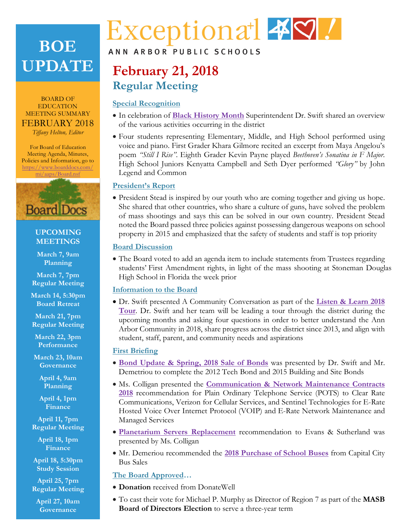## **BOE UPDATE**

BOARD OF EDUCATION MEETING SUMMARY FEBRUARY 2018 *Tiffany Helton, Editor*

For Board of Education Meeting Agenda, Minutes, Policies and Information, go to https://www.boarddocs.com/ mi/aaps/Board.nsf



#### **UPCOMING MEETINGS**

**March 7, 9am Planning**

**March 7, 7pm Regular Meeting**

**March 14, 5:30pm Board Retreat**

**March 21, 7pm Regular Meeting**

**March 22, 3pm Performance**

**March 23, 10am Governance**

> **April 4, 9am Planning**

**April 4, 1pm Finance**

**April 11, 7pm Regular Meeting**

**April 18, 1pm Finance**

**April 18, 5:30pm Study Session**

**April 25, 7pm Regular Meeting**

**April 27, 10am Governance**

# Exceptional 49.

#### ANN ARBOR PUBLIC SCHOOLS

## **February 21, 2018 Regular Meeting**

#### **Special Recognition**

- In celebration of **[Black History Month](https://youtu.be/z53endHhp-c)** Superintendent Dr. Swift shared an overview of the various activities occurring in the district
- Four students representing Elementary, Middle, and High School performed using voice and piano. First Grader Khara Gilmore recited an excerpt from Maya Angelou's poem *"Still I Rise"*. Eighth Grader Kevin Payne played *Beethoven's Sonatina in F Major*. High School Juniors Kenyatta Campbell and Seth Dyer performed *"Glory"* by John Legend and Common

#### **President's Report**

• President Stead is inspired by our youth who are coming together and giving us hope. She shared that other countries, who share a culture of guns, have solved the problem of mass shootings and says this can be solved in our own country. President Stead noted the Board passed three policies against possessing dangerous weapons on school property in 2015 and emphasized that the safety of students and staff is top priority

#### **Board Discussion**

• The Board voted to add an agenda item to include statements from Trustees regarding students' First Amendment rights, in light of the mass shooting at Stoneman Douglas High School in Florida the week prior

#### **Information to the Board**

• Dr. Swift presented A Community Conversation as part of the **Listen & Learn 2018 Tour**[. Dr. Swift and her team will be leading a tour through the district during the](https://youtu.be/gctoOgKgNuY)  upcoming months and asking four questions in order to better understand the Ann Arbor Community in 2018, share progress across the district since 2013, and align with student, staff, parent, and community needs and aspirations

#### **First Briefing**

- **[Bond Update & Spring, 2018 Sale of Bonds](http://www.boarddocs.com/mi/aaps/Board.nsf/goto?open&id=AVWLC855DE8E)** was presented by Dr. Swift and Mr. Demetriou to complete the 2012 Tech Bond and 2015 Building and Site Bonds
- Ms. Colligan presented the **Communication & Network Maintenance Contracts 2018** [recommendation for Plain Ordinary Telephone Service \(POTS\) to Clear Rate](http://www.boarddocs.com/mi/aaps/Board.nsf/goto?open&id=AVWLD75601A8)  Communications, Verizon for Cellular Services, and Sentinel Technologies for E-Rate Hosted Voice Over Internet Protocol (VOIP) and E-Rate Network Maintenance and Managed Services
- **[Planetarium Servers Replacement](http://www.boarddocs.com/mi/aaps/Board.nsf/goto?open&id=AVWLD355FCAD)** recommendation to Evans & Sutherland was presented by Ms. Colligan
- Mr. Demeriou recommended the **[2018 Purchase of School Buses](http://www.boarddocs.com/mi/aaps/Board.nsf/goto?open&id=AVWLCU55F341)** from Capital City Bus Sales

#### **The Board Approved…**

- **Donation** received from DonateWell
- To cast their vote for Michael P. Murphy as Director of Region 7 as part of the **MASB Board of Directors Election** to serve a three-year term